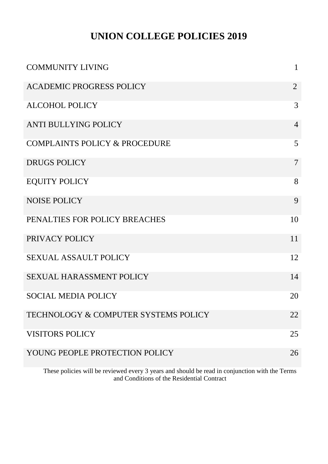## **UNION COLLEGE POLICIES 2019**

| <b>COMMUNITY LIVING</b>                  | $\mathbf{1}$   |
|------------------------------------------|----------------|
| <b>ACADEMIC PROGRESS POLICY</b>          | $\overline{2}$ |
| <b>ALCOHOL POLICY</b>                    | 3              |
| <b>ANTI BULLYING POLICY</b>              | $\overline{4}$ |
| <b>COMPLAINTS POLICY &amp; PROCEDURE</b> | 5              |
| <b>DRUGS POLICY</b>                      | $\overline{7}$ |
| <b>EQUITY POLICY</b>                     | 8              |
| <b>NOISE POLICY</b>                      | 9              |
| PENALTIES FOR POLICY BREACHES            | 10             |
| PRIVACY POLICY                           | 11             |
| <b>SEXUAL ASSAULT POLICY</b>             | 12             |
| <b>SEXUAL HARASSMENT POLICY</b>          | 14             |
| <b>SOCIAL MEDIA POLICY</b>               | 20             |
| TECHNOLOGY & COMPUTER SYSTEMS POLICY     | 22             |
| <b>VISITORS POLICY</b>                   | 25             |
| YOUNG PEOPLE PROTECTION POLICY           | 26             |

These policies will be reviewed every 3 years and should be read in conjunction with the Terms and Conditions of the Residential Contract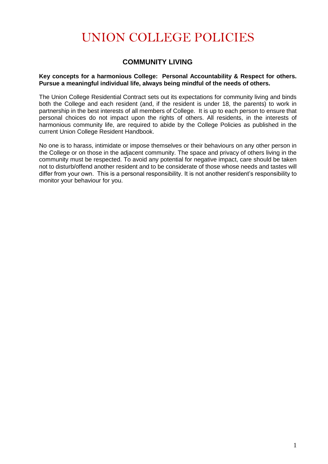# UNION COLLEGE POLICIES

## **COMMUNITY LIVING**

#### **Key concepts for a harmonious College: Personal Accountability & Respect for others. Pursue a meaningful individual life, always being mindful of the needs of others.**

The Union College Residential Contract sets out its expectations for community living and binds both the College and each resident (and, if the resident is under 18, the parents) to work in partnership in the best interests of all members of College. It is up to each person to ensure that personal choices do not impact upon the rights of others. All residents, in the interests of harmonious community life, are required to abide by the College Policies as published in the current Union College Resident Handbook.

No one is to harass, intimidate or impose themselves or their behaviours on any other person in the College or on those in the adjacent community. The space and privacy of others living in the community must be respected. To avoid any potential for negative impact, care should be taken not to disturb/offend another resident and to be considerate of those whose needs and tastes will differ from your own. This is a personal responsibility. It is not another resident's responsibility to monitor your behaviour for you.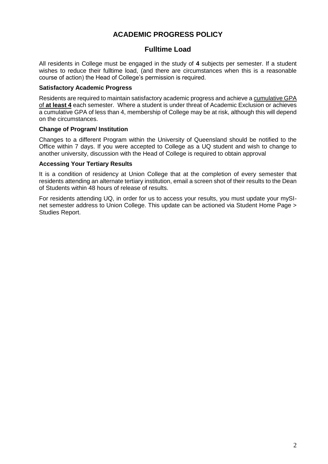## **ACADEMIC PROGRESS POLICY**

### **Fulltime Load**

All residents in College must be engaged in the study of **4** subjects per semester. If a student wishes to reduce their fulltime load, (and there are circumstances when this is a reasonable course of action) the Head of College's permission is required.

#### **Satisfactory Academic Progress**

Residents are required to maintain satisfactory academic progress and achieve a cumulative GPA of **at least 4** each semester. Where a student is under threat of Academic Exclusion or achieves a cumulative GPA of less than 4, membership of College may be at risk, although this will depend on the circumstances.

#### **Change of Program/ Institution**

Changes to a different Program within the University of Queensland should be notified to the Office within 7 days. If you were accepted to College as a UQ student and wish to change to another university, discussion with the Head of College is required to obtain approval

#### **Accessing Your Tertiary Results**

It is a condition of residency at Union College that at the completion of every semester that residents attending an alternate tertiary institution, email a screen shot of their results to the Dean of Students within 48 hours of release of results.

For residents attending UQ, in order for us to access your results, you must update your mySInet semester address to Union College. This update can be actioned via Student Home Page > Studies Report.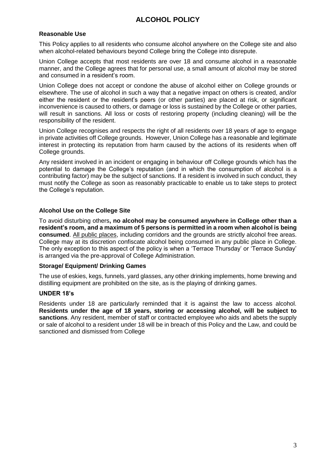## **ALCOHOL POLICY**

#### **Reasonable Use**

This Policy applies to all residents who consume alcohol anywhere on the College site and also when alcohol-related behaviours beyond College bring the College into disrepute.

Union College accepts that most residents are over 18 and consume alcohol in a reasonable manner, and the College agrees that for personal use, a small amount of alcohol may be stored and consumed in a resident's room.

Union College does not accept or condone the abuse of alcohol either on College grounds or elsewhere. The use of alcohol in such a way that a negative impact on others is created, and/or either the resident or the resident's peers (or other parties) are placed at risk, or significant inconvenience is caused to others, or damage or loss is sustained by the College or other parties, will result in sanctions. All loss or costs of restoring property (including cleaning) will be the responsibility of the resident.

Union College recognises and respects the right of all residents over 18 years of age to engage in private activities off College grounds. However, Union College has a reasonable and legitimate interest in protecting its reputation from harm caused by the actions of its residents when off College grounds.

Any resident involved in an incident or engaging in behaviour off College grounds which has the potential to damage the College's reputation (and in which the consumption of alcohol is a contributing factor) may be the subject of sanctions. If a resident is involved in such conduct, they must notify the College as soon as reasonably practicable to enable us to take steps to protect the College's reputation.

#### **Alcohol Use on the College Site**

To avoid disturbing others**, no alcohol may be consumed anywhere in College other than a resident's room, and a maximum of 5 persons is permitted in a room when alcohol is being consumed**. All public places, including corridors and the grounds are strictly alcohol free areas. College may at its discretion confiscate alcohol being consumed in any public place in College. The only exception to this aspect of the policy is when a 'Terrace Thursday' or 'Terrace Sunday' is arranged via the pre-approval of College Administration.

#### **Storage/ Equipment/ Drinking Games**

The use of eskies, kegs, funnels, yard glasses, any other drinking implements, home brewing and distilling equipment are prohibited on the site, as is the playing of drinking games.

#### **UNDER 18's**

Residents under 18 are particularly reminded that it is against the law to access alcohol. **Residents under the age of 18 years, storing or accessing alcohol, will be subject to sanctions**. Any resident, member of staff or contracted employee who aids and abets the supply or sale of alcohol to a resident under 18 will be in breach of this Policy and the Law, and could be sanctioned and dismissed from College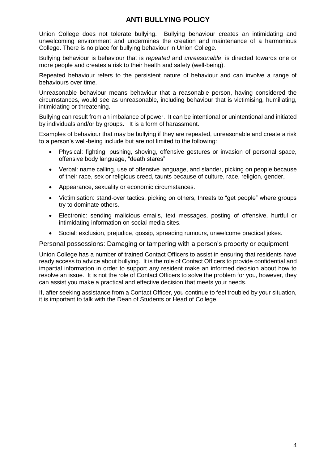## **ANTI BULLYING POLICY**

Union College does not tolerate bullying. Bullying behaviour creates an intimidating and unwelcoming environment and undermines the creation and maintenance of a harmonious College. There is no place for bullying behaviour in Union College.

Bullying behaviour is behaviour that is *repeated* and *unreasonable*, is directed towards one or more people and creates a risk to their health and safety (well-being).

Repeated behaviour refers to the persistent nature of behaviour and can involve a range of behaviours over time.

Unreasonable behaviour means behaviour that a reasonable person, having considered the circumstances, would see as unreasonable, including behaviour that is victimising, humiliating, intimidating or threatening.

Bullying can result from an imbalance of power. It can be intentional or unintentional and initiated by individuals and/or by groups. It is a form of harassment.

Examples of behaviour that may be bullying if they are repeated, unreasonable and create a risk to a person's well-being include but are not limited to the following:

- Physical: fighting, pushing, shoving, offensive gestures or invasion of personal space, offensive body language, "death stares"
- Verbal: name calling, use of offensive language, and slander, picking on people because of their race, sex or religious creed, taunts because of culture, race, religion, gender,
- Appearance, sexuality or economic circumstances.
- Victimisation: stand-over tactics, picking on others, threats to "get people" where groups try to dominate others.
- Electronic: sending malicious emails, text messages, posting of offensive, hurtful or intimidating information on social media sites.
- Social: exclusion, prejudice, gossip, spreading rumours, unwelcome practical jokes.

Personal possessions: Damaging or tampering with a person's property or equipment

Union College has a number of trained Contact Officers to assist in ensuring that residents have ready access to advice about bullying. It is the role of Contact Officers to provide confidential and impartial information in order to support any resident make an informed decision about how to resolve an issue. It is not the role of Contact Officers to solve the problem for you, however, they can assist you make a practical and effective decision that meets your needs.

If, after seeking assistance from a Contact Officer, you continue to feel troubled by your situation, it is important to talk with the Dean of Students or Head of College.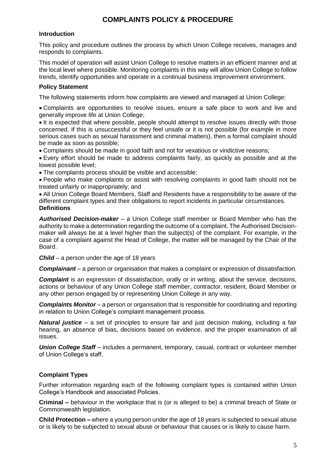## **COMPLAINTS POLICY & PROCEDURE**

#### **Introduction**

This policy and procedure outlines the process by which Union College receives, manages and responds to complaints.

This model of operation will assist Union College to resolve matters in an efficient manner and at the local level where possible. Monitoring complaints in this way will allow Union College to follow trends, identify opportunities and operate in a continual business improvement environment.

#### **Policy Statement**

The following statements inform how complaints are viewed and managed at Union College:

 Complaints are opportunities to resolve issues, ensure a safe place to work and live and generally improve life at Union College;

It is expected that where possible, people should attempt to resolve issues directly with those concerned. If this is unsuccessful or they feel unsafe or it is not possible (for example in more serious cases such as sexual harassment and criminal matters), then a formal complaint should be made as soon as possible;

Complaints should be made in good faith and not for vexatious or vindictive reasons;

 Every effort should be made to address complaints fairly, as quickly as possible and at the lowest possible level;

The complaints process should be visible and accessible;

 People who make complaints or assist with resolving complaints in good faith should not be treated unfairly or inappropriately; and

 All Union College Board Members, Staff and Residents have a responsibility to be aware of the different complaint types and their obligations to report incidents in particular circumstances. **Definitions**

*Authorised Decision-maker* – a Union College staff member or Board Member who has the authority to make a determination regarding the outcome of a complaint. The Authorised Decisionmaker will always be at a level higher than the subject(s) of the complaint. For example, in the case of a complaint against the Head of College, the matter will be managed by the Chair of the Board.

*Child* – a person under the age of 18 years

*Complainant* – a person or organisation that makes a complaint or expression of dissatisfaction.

**Complaint** is an expression of dissatisfaction, orally or in writing, about the service, decisions, actions or behaviour of any Union College staff member, contractor, resident, Board Member or any other person engaged by or representing Union College in any way.

*Complaints Monitor* – a person or organisation that is responsible for coordinating and reporting in relation to Union College's complaint management process.

*Natural justice* – a set of principles to ensure fair and just decision making, including a fair hearing, an absence of bias, decisions based on evidence, and the proper examination of all issues.

*Union College Staff* – includes a permanent, temporary, casual, contract or volunteer member of Union College's staff.

#### **Complaint Types**

Further information regarding each of the following complaint types is contained within Union College's Handbook and associated Policies.

**Criminal –** behaviour in the workplace that is (or is alleged to be) a criminal breach of State or Commonwealth legislation.

**Child Protection –** where a young person under the age of 18 years is subjected to sexual abuse or is likely to be subjected to sexual abuse or behaviour that causes or is likely to cause harm.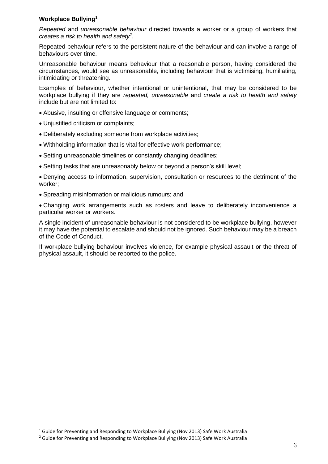#### **Workplace Bullying<sup>1</sup>**

*Repeated* and *unreasonable behaviour* directed towards a worker or a group of workers that *creates a risk to health and safety<sup>2</sup>* .

Repeated behaviour refers to the persistent nature of the behaviour and can involve a range of behaviours over time.

Unreasonable behaviour means behaviour that a reasonable person, having considered the circumstances, would see as unreasonable, including behaviour that is victimising, humiliating, intimidating or threatening.

Examples of behaviour, whether intentional or unintentional, that may be considered to be workplace bullying if they are *repeated, unreasonable* and *create a risk to health and safety*  include but are not limited to:

- Abusive, insulting or offensive language or comments;
- Unjustified criticism or complaints;
- Deliberately excluding someone from workplace activities;
- Withholding information that is vital for effective work performance;
- Setting unreasonable timelines or constantly changing deadlines;
- Setting tasks that are unreasonably below or beyond a person's skill level;

 Denying access to information, supervision, consultation or resources to the detriment of the worker;

Spreading misinformation or malicious rumours; and

 Changing work arrangements such as rosters and leave to deliberately inconvenience a particular worker or workers.

A single incident of unreasonable behaviour is not considered to be workplace bullying, however it may have the potential to escalate and should not be ignored. Such behaviour may be a breach of the Code of Conduct.

If workplace bullying behaviour involves violence, for example physical assault or the threat of physical assault, it should be reported to the police.

 $\overline{a}$ 

<sup>&</sup>lt;sup>1</sup> Guide for Preventing and Responding to Workplace Bullying (Nov 2013) Safe Work Australia

<sup>&</sup>lt;sup>2</sup> Guide for Preventing and Responding to Workplace Bullying (Nov 2013) Safe Work Australia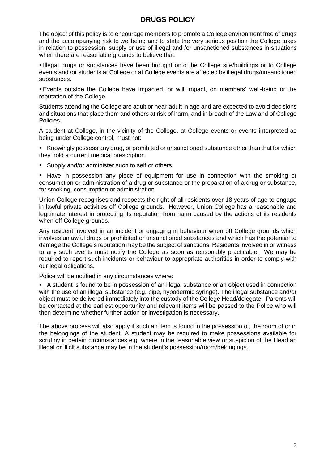## **DRUGS POLICY**

The object of this policy is to encourage members to promote a College environment free of drugs and the accompanying risk to wellbeing and to state the very serious position the College takes in relation to possession, supply or use of illegal and /or unsanctioned substances in situations when there are reasonable grounds to believe that:

 Illegal drugs or substances have been brought onto the College site/buildings or to College events and /or students at College or at College events are affected by illegal drugs/unsanctioned substances.

 Events outside the College have impacted, or will impact, on members' well-being or the reputation of the College.

Students attending the College are adult or near-adult in age and are expected to avoid decisions and situations that place them and others at risk of harm, and in breach of the Law and of College Policies.

A student at College, in the vicinity of the College, at College events or events interpreted as being under College control, must not:

Knowingly possess any drug, or prohibited or unsanctioned substance other than that for which they hold a current medical prescription.

**Supply and/or administer such to self or others.** 

 Have in possession any piece of equipment for use in connection with the smoking or consumption or administration of a drug or substance or the preparation of a drug or substance, for smoking, consumption or administration.

Union College recognises and respects the right of all residents over 18 years of age to engage in lawful private activities off College grounds. However, Union College has a reasonable and legitimate interest in protecting its reputation from harm caused by the actions of its residents when off College grounds.

Any resident involved in an incident or engaging in behaviour when off College grounds which involves unlawful drugs or prohibited or unsanctioned substances and which has the potential to damage the College's reputation may be the subject of sanctions. Residents involved in or witness to any such events must notify the College as soon as reasonably practicable. We may be required to report such incidents or behaviour to appropriate authorities in order to comply with our legal obligations.

Police will be notified in any circumstances where:

 A student is found to be in possession of an illegal substance or an object used in connection with the use of an illegal substance (e.g. pipe, hypodermic syringe). The illegal substance and/or object must be delivered immediately into the custody of the College Head/delegate. Parents will be contacted at the earliest opportunity and relevant items will be passed to the Police who will then determine whether further action or investigation is necessary.

The above process will also apply if such an item is found in the possession of, the room of or in the belongings of the student. A student may be required to make possessions available for scrutiny in certain circumstances e.g. where in the reasonable view or suspicion of the Head an illegal or illicit substance may be in the student's possession/room/belongings.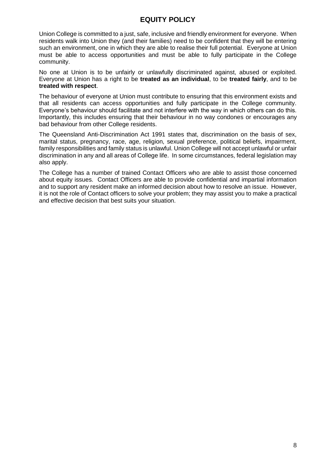## **EQUITY POLICY**

Union College is committed to a just, safe, inclusive and friendly environment for everyone. When residents walk into Union they (and their families) need to be confident that they will be entering such an environment, one in which they are able to realise their full potential. Everyone at Union must be able to access opportunities and must be able to fully participate in the College community.

No one at Union is to be unfairly or unlawfully discriminated against, abused or exploited. Everyone at Union has a right to be **treated as an individual**, to be **treated fairly**, and to be **treated with respect**.

The behaviour of everyone at Union must contribute to ensuring that this environment exists and that all residents can access opportunities and fully participate in the College community. Everyone's behaviour should facilitate and not interfere with the way in which others can do this. Importantly, this includes ensuring that their behaviour in no way condones or encourages any bad behaviour from other College residents.

The Queensland Anti-Discrimination Act 1991 states that, discrimination on the basis of sex, marital status, pregnancy, race, age, religion, sexual preference, political beliefs, impairment, family responsibilities and family status is unlawful. Union College will not accept unlawful or unfair discrimination in any and all areas of College life. In some circumstances, federal legislation may also apply.

The College has a number of trained Contact Officers who are able to assist those concerned about equity issues. Contact Officers are able to provide confidential and impartial information and to support any resident make an informed decision about how to resolve an issue. However, it is not the role of Contact officers to solve your problem; they may assist you to make a practical and effective decision that best suits your situation.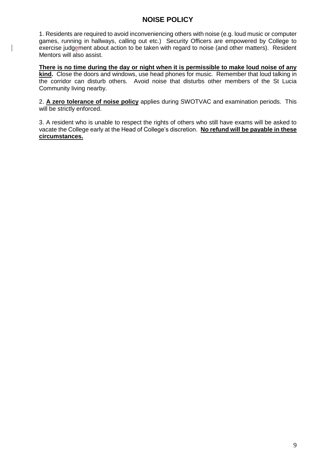## **NOISE POLICY**

1. Residents are required to avoid inconveniencing others with noise (e.g. loud music or computer games, running in hallways, calling out etc.) Security Officers are empowered by College to exercise judgement about action to be taken with regard to noise (and other matters). Resident Mentors will also assist.

**There is no time during the day or night when it is permissible to make loud noise of any kind.** Close the doors and windows, use head phones for music. Remember that loud talking in the corridor can disturb others. Avoid noise that disturbs other members of the St Lucia Community living nearby.

2. **A zero tolerance of noise policy** applies during SWOTVAC and examination periods. This will be strictly enforced.

3. A resident who is unable to respect the rights of others who still have exams will be asked to vacate the College early at the Head of College's discretion. **No refund will be payable in these circumstances.**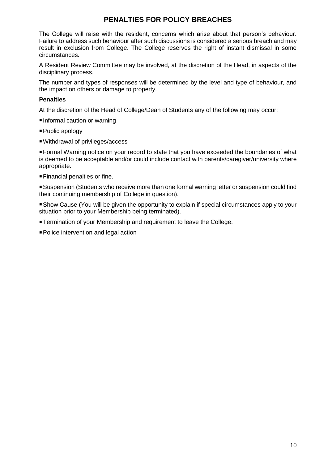## **PENALTIES FOR POLICY BREACHES**

The College will raise with the resident, concerns which arise about that person's behaviour. Failure to address such behaviour after such discussions is considered a serious breach and may result in exclusion from College. The College reserves the right of instant dismissal in some circumstances.

A Resident Review Committee may be involved, at the discretion of the Head, in aspects of the disciplinary process.

The number and types of responses will be determined by the level and type of behaviour, and the impact on others or damage to property.

#### **Penalties**

At the discretion of the Head of College/Dean of Students any of the following may occur:

- Informal caution or warning
- Public apology
- Withdrawal of privileges/access

Formal Warning notice on your record to state that you have exceeded the boundaries of what is deemed to be acceptable and/or could include contact with parents/caregiver/university where appropriate.

Financial penalties or fine.

Suspension (Students who receive more than one formal warning letter or suspension could find their continuing membership of College in question).

Show Cause (You will be given the opportunity to explain if special circumstances apply to your situation prior to your Membership being terminated).

- **Termination of your Membership and requirement to leave the College.**
- Police intervention and legal action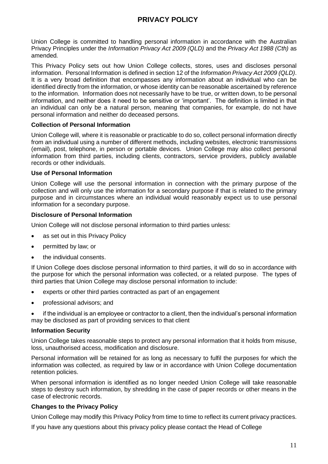## **PRIVACY POLICY**

Union College is committed to handling personal information in accordance with the Australian Privacy Principles under the *Information Privacy Act 2009 (QLD)* and the *Privacy Act 1988 (Cth)* as amended*.*

This Privacy Policy sets out how Union College collects, stores, uses and discloses personal information. Personal Information is defined in section 12 of the *Information Privacy Act 2009 (QLD)*. It is a very broad definition that encompasses any information about an individual who can be identified directly from the information, or whose identity can be reasonable ascertained by reference to the information. Information does not necessarily have to be true, or written down, to be personal information, and neither does it need to be sensitive or 'important'. The definition is limited in that an individual can only be a natural person, meaning that companies, for example, do not have personal information and neither do deceased persons.

#### **Collection of Personal Information**

Union College will, where it is reasonable or practicable to do so, collect personal information directly from an individual using a number of different methods, including websites, electronic transmissions (email), post, telephone, in person or portable devices. Union College may also collect personal information from third parties, including clients, contractors, service providers, publicly available records or other individuals.

#### **Use of Personal Information**

Union College will use the personal information in connection with the primary purpose of the collection and will only use the information for a secondary purpose if that is related to the primary purpose and in circumstances where an individual would reasonably expect us to use personal information for a secondary purpose.

#### **Disclosure of Personal Information**

Union College will not disclose personal information to third parties unless:

- as set out in this Privacy Policy
- permitted by law; or
- the individual consents.

If Union College does disclose personal information to third parties, it will do so in accordance with the purpose for which the personal information was collected, or a related purpose. The types of third parties that Union College may disclose personal information to include:

- experts or other third parties contracted as part of an engagement
- professional advisors; and
- if the individual is an employee or contractor to a client, then the individual's personal information may be disclosed as part of providing services to that client

#### **Information Security**

Union College takes reasonable steps to protect any personal information that it holds from misuse, loss, unauthorised access, modification and disclosure.

Personal information will be retained for as long as necessary to fulfil the purposes for which the information was collected, as required by law or in accordance with Union College documentation retention policies.

When personal information is identified as no longer needed Union College will take reasonable steps to destroy such information, by shredding in the case of paper records or other means in the case of electronic records.

#### **Changes to the Privacy Policy**

Union College may modify this Privacy Policy from time to time to reflect its current privacy practices.

If you have any questions about this privacy policy please contact the Head of College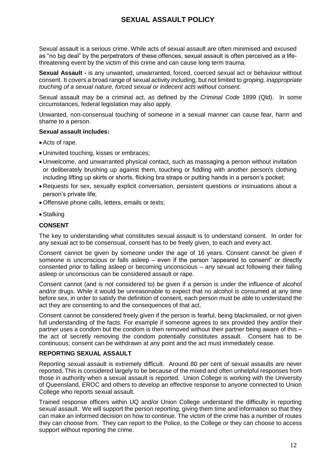## **SEXUAL ASSAULT POLICY**

Sexual assault is a serious crime. While acts of sexual assault are often minimised and excused as "no big deal" by the perpetrators of these offences, sexual assault is often perceived as a lifethreatening event by the victim of this crime and can cause long term trauma.

**Sexual Assault -** is any unwanted, unwarranted, forced, coerced sexual act or behaviour without consent. It covers a broad range of sexual activity including, but not limited to *groping, inappropriate touching of a sexual nature, forced sexual or indecent acts without consent.* 

Sexual assault may be a criminal act, as defined by the *Criminal Code* 1899 (Qld). In some circumstances, federal legislation may also apply.

Unwanted, non-consensual touching of someone in a sexual manner can cause fear, harm and shame to a person.

#### **Sexual assault includes:**

- Acts of rape.
- Uninvited touching, kisses or embraces;
- Unwelcome, and unwarranted physical contact, such as massaging a person without invitation or deliberately brushing up against them, touching or fiddling with another person's clothing including lifting up skirts or shorts, flicking bra straps or putting hands in a person's pocket;
- Requests for sex, sexually explicit conversation, persistent questions or insinuations about a person's private life;
- Offensive phone calls, letters, emails or texts;
- Stalking

#### **CONSENT**

The key to understanding what constitutes sexual assault is to understand consent. In order for any sexual act to be consensual, consent has to be freely given, to each and every act.

Consent cannot be given by someone under the age of 16 years. Consent cannot be given if someone is unconscious or falls asleep – even if the person "appeared to consent" or directly consented prior to falling asleep or becoming unconscious – any sexual act following their falling asleep or unconscious can be considered assault or rape.

Consent cannot (and is not considered to) be given if a person is under the influence of alcohol and/or drugs. While it would be unreasonable to expect that no alcohol is consumed at any time before sex, in order to satisfy the definition of consent, each person must be able to understand the act they are consenting to and the consequences of that act.

Consent cannot be considered freely given if the person is fearful, being blackmailed, or not given full understanding of the facts. For example if someone agrees to sex provided they and/or their partner uses a condom but the condom is then removed without their partner being aware of this – the act of secretly removing the condom potentially constitutes assault. Consent has to be continuous; consent can be withdrawn at any point and the act must immediately cease.

#### **REPORTING SEXUAL ASSAULT**

Reporting sexual assault is extremely difficult. Around 80 per cent of sexual assaults are never reported. This is considered largely to be because of the mixed and often unhelpful responses from those in authority when a sexual assault is reported. Union College is working with the University of Queensland, EROC and others to develop an effective response to anyone connected to Union College who reports sexual assault.

Trained response officers within UQ and/or Union College understand the difficulty in reporting sexual assault. We will support the person reporting, giving them time and information so that they can make an informed decision on how to continue. The victim of the crime has a number of routes they can choose from. They can report to the Police, to the College or they can choose to access support without reporting the crime.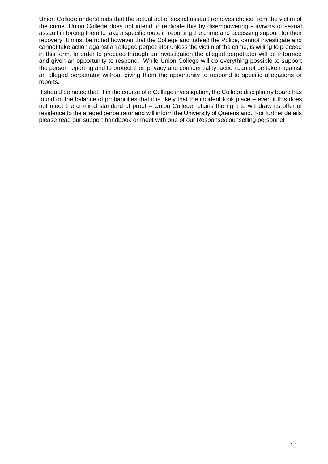Union College understands that the actual act of sexual assault removes choice from the victim of the crime. Union College does not intend to replicate this by disempowering survivors of sexual assault in forcing them to take a specific route in reporting the crime and accessing support for their recovery. It must be noted however that the College and indeed the Police, cannot investigate and cannot take action against an alleged perpetrator unless the victim of the crime, is willing to proceed in this form. In order to proceed through an investigation the alleged perpetrator will be informed and given an opportunity to respond. While Union College will do everything possible to support the person reporting and to protect their privacy and confidentiality, action cannot be taken against an alleged perpetrator without giving them the opportunity to respond to specific allegations or reports.

It should be noted that, if in the course of a College investigation, the College disciplinary board has found on the balance of probabilities that it is likely that the incident took place – even if this does not meet the criminal standard of proof – Union College retains the right to withdraw its offer of residence to the alleged perpetrator and will inform the University of Queensland. For further details please read our support handbook or meet with one of our Response/counselling personnel.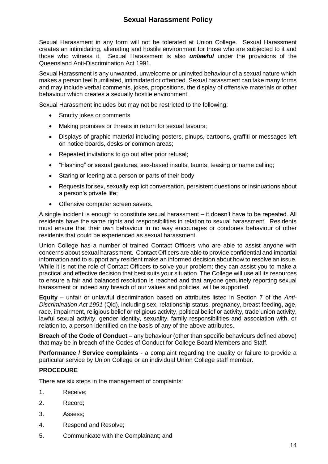## **Sexual Harassment Policy**

Sexual Harassment in any form will not be tolerated at Union College. Sexual Harassment creates an intimidating, alienating and hostile environment for those who are subjected to it and those who witness it. Sexual Harassment is also *unlawful* under the provisions of the Queensland Anti-Discrimination Act 1991.

Sexual Harassment is any unwanted, unwelcome or uninvited behaviour of a sexual nature which makes a person feel humiliated, intimidated or offended. Sexual harassment can take many forms and may include verbal comments, jokes, propositions, the display of offensive materials or other behaviour which creates a sexually hostile environment.

Sexual Harassment includes but may not be restricted to the following;

- Smutty jokes or comments
- Making promises or threats in return for sexual favours;
- Displays of graphic material including posters, pinups, cartoons, graffiti or messages left on notice boards, desks or common areas;
- Repeated invitations to go out after prior refusal;
- "Flashing" or sexual gestures, sex-based insults, taunts, teasing or name calling;
- Staring or leering at a person or parts of their body
- Requests for sex, sexually explicit conversation, persistent questions or insinuations about a person's private life;
- Offensive computer screen savers.

A single incident is enough to constitute sexual harassment – it doesn't have to be repeated. All residents have the same rights and responsibilities in relation to sexual harassment. Residents must ensure that their own behaviour in no way encourages or condones behaviour of other residents that could be experienced as sexual harassment.

Union College has a number of trained Contact Officers who are able to assist anyone with concerns about sexual harassment. Contact Officers are able to provide confidential and impartial information and to support any resident make an informed decision about how to resolve an issue. While it is not the role of Contact Officers to solve your problem; they can assist you to make a practical and effective decision that best suits your situation. The College will use all its resources to ensure a fair and balanced resolution is reached and that anyone genuinely reporting sexual harassment or indeed any breach of our values and policies, will be supported.

**Equity –** unfair or unlawful discrimination based on attributes listed in Section 7 of the *Anti-Discrimination Act 1991* (Qld), including sex, relationship status, pregnancy, breast feeding, age, race, impairment, religious belief or religious activity, political belief or activity, trade union activity, lawful sexual activity, gender identity, sexuality, family responsibilities and association with, or relation to, a person identified on the basis of any of the above attributes.

**Breach of the Code of Conduct** – any behaviour (other than specific behaviours defined above) that may be in breach of the Codes of Conduct for College Board Members and Staff.

**Performance / Service complaints** - a complaint regarding the quality or failure to provide a particular service by Union College or an individual Union College staff member.

#### **PROCEDURE**

There are six steps in the management of complaints:

- 1. Receive;
- 2. Record;
- 3. Assess;
- 4. Respond and Resolve;
- 5. Communicate with the Complainant; and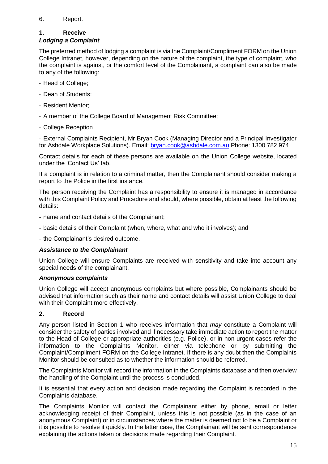#### 6. Report.

#### **1. Receive**

#### *Lodging a Complaint*

The preferred method of lodging a complaint is via the Complaint/Compliment FORM on the Union College Intranet, however, depending on the nature of the complaint, the type of complaint, who the complaint is against, or the comfort level of the Complainant, a complaint can also be made to any of the following:

- Head of College;
- Dean of Students;
- Resident Mentor;
- A member of the College Board of Management Risk Committee;
- College Reception

- External Complaints Recipient, Mr Bryan Cook (Managing Director and a Principal Investigator for Ashdale Workplace Solutions). Email: [bryan.cook@ashdale.com.au](mailto:bryan.cook@ashdale.com.au) Phone: 1300 782 974

Contact details for each of these persons are available on the Union College website, located under the 'Contact Us' tab.

If a complaint is in relation to a criminal matter, then the Complainant should consider making a report to the Police in the first instance.

The person receiving the Complaint has a responsibility to ensure it is managed in accordance with this Complaint Policy and Procedure and should, where possible, obtain at least the following details:

- name and contact details of the Complainant;
- basic details of their Complaint (when, where, what and who it involves); and
- the Complainant's desired outcome.

#### *Assistance to the Complainant*

Union College will ensure Complaints are received with sensitivity and take into account any special needs of the complainant.

#### *Anonymous complaints*

Union College will accept anonymous complaints but where possible, Complainants should be advised that information such as their name and contact details will assist Union College to deal with their Complaint more effectively.

#### **2. Record**

Any person listed in Section 1 who receives information that *may* constitute a Complaint will consider the safety of parties involved and if necessary take immediate action to report the matter to the Head of College or appropriate authorities (e.g. Police), or in non-urgent cases refer the information to the Complaints Monitor, either via telephone or by submitting the Complaint/Compliment FORM on the College Intranet. If there is any doubt then the Complaints Monitor should be consulted as to whether the information should be referred.

The Complaints Monitor will record the information in the Complaints database and then overview the handling of the Complaint until the process is concluded.

It is essential that every action and decision made regarding the Complaint is recorded in the Complaints database.

The Complaints Monitor will contact the Complainant either by phone, email or letter acknowledging receipt of their Complaint, unless this is not possible (as in the case of an anonymous Complaint) or in circumstances where the matter is deemed not to be a Complaint or it is possible to resolve it quickly. In the latter case, the Complainant will be sent correspondence explaining the actions taken or decisions made regarding their Complaint.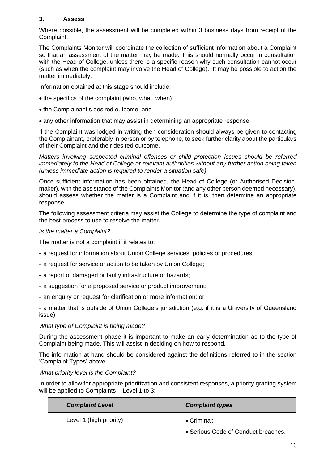#### **3. Assess**

Where possible, the assessment will be completed within 3 business days from receipt of the Complaint.

The Complaints Monitor will coordinate the collection of sufficient information about a Complaint so that an assessment of the matter may be made. This should normally occur in consultation with the Head of College, unless there is a specific reason why such consultation cannot occur (such as when the complaint may involve the Head of College). It may be possible to action the matter immediately.

Information obtained at this stage should include:

- the specifics of the complaint (who, what, when);
- the Complainant's desired outcome; and
- any other information that may assist in determining an appropriate response

If the Complaint was lodged in writing then consideration should always be given to contacting the Complainant, preferably in person or by telephone, to seek further clarity about the particulars of their Complaint and their desired outcome.

*Matters involving suspected criminal offences or child protection issues should be referred immediately to the Head of College or relevant authorities without any further action being taken (unless immediate action is required to render a situation safe).* 

Once sufficient information has been obtained, the Head of College (or Authorised Decisionmaker), with the assistance of the Complaints Monitor (and any other person deemed necessary), should assess whether the matter is a Complaint and if it is, then determine an appropriate response.

The following assessment criteria may assist the College to determine the type of complaint and the best process to use to resolve the matter.

#### *Is the matter a Complaint?*

The matter is not a complaint if it relates to:

- a request for information about Union College services, policies or procedures;
- a request for service or action to be taken by Union College;
- a report of damaged or faulty infrastructure or hazards;
- a suggestion for a proposed service or product improvement;
- an enquiry or request for clarification or more information; or

- a matter that is outside of Union College's jurisdiction (e.g. if it is a University of Queensland issue)

#### *What type of Complaint is being made?*

During the assessment phase it is important to make an early determination as to the type of Complaint being made. This will assist in deciding on how to respond.

The information at hand should be considered against the definitions referred to in the section 'Complaint Types' above.

#### *What priority level is the Complaint?*

In order to allow for appropriate prioritization and consistent responses, a priority grading system will be applied to Complaints – Level 1 to 3:

| <b>Complaint Level</b>  | <b>Complaint types</b>              |
|-------------------------|-------------------------------------|
| Level 1 (high priority) | $\bullet$ Criminal;                 |
|                         | • Serious Code of Conduct breaches. |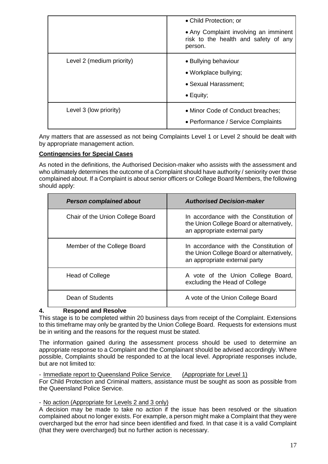|                           | • Child Protection; or                                                                     |
|---------------------------|--------------------------------------------------------------------------------------------|
|                           | • Any Complaint involving an imminent<br>risk to the health and safety of any<br>person.   |
| Level 2 (medium priority) | • Bullying behaviour<br>• Workplace bullying;<br>• Sexual Harassment;<br>$\bullet$ Equity; |
| Level 3 (low priority)    | • Minor Code of Conduct breaches;<br>• Performance / Service Complaints                    |

Any matters that are assessed as not being Complaints Level 1 or Level 2 should be dealt with by appropriate management action.

#### **Contingencies for Special Cases**

As noted in the definitions, the Authorised Decision-maker who assists with the assessment and who ultimately determines the outcome of a Complaint should have authority / seniority over those complained about. If a Complaint is about senior officers or College Board Members, the following should apply:

| <b>Person complained about</b>   | <b>Authorised Decision-maker</b>                                                                                     |
|----------------------------------|----------------------------------------------------------------------------------------------------------------------|
| Chair of the Union College Board | In accordance with the Constitution of<br>the Union College Board or alternatively,<br>an appropriate external party |
| Member of the College Board      | In accordance with the Constitution of<br>the Union College Board or alternatively,<br>an appropriate external party |
| <b>Head of College</b>           | A vote of the Union College Board,<br>excluding the Head of College                                                  |
| Dean of Students                 | A vote of the Union College Board                                                                                    |

## **4. Respond and Resolve**

This stage is to be completed within 20 business days from receipt of the Complaint. Extensions to this timeframe may only be granted by the Union College Board. Requests for extensions must be in writing and the reasons for the request must be stated.

The information gained during the assessment process should be used to determine an appropriate response to a Complaint and the Complainant should be advised accordingly. Where possible, Complaints should be responded to at the local level. Appropriate responses include, but are not limited to:

- Immediate report to Queensland Police Service (Appropriate for Level 1) For Child Protection and Criminal matters, assistance must be sought as soon as possible from the Queensland Police Service.

- No action (Appropriate for Levels 2 and 3 only)

A decision may be made to take no action if the issue has been resolved or the situation complained about no longer exists. For example, a person might make a Complaint that they were overcharged but the error had since been identified and fixed. In that case it is a valid Complaint (that they were overcharged) but no further action is necessary.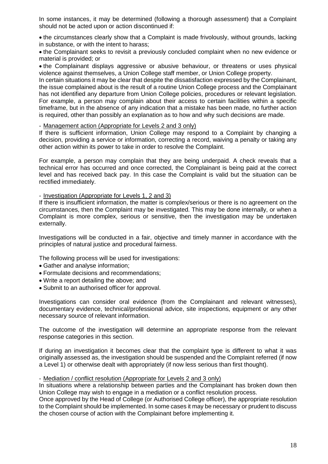In some instances, it may be determined (following a thorough assessment) that a Complaint should not be acted upon or action discontinued if:

 the circumstances clearly show that a Complaint is made frivolously, without grounds, lacking in substance, or with the intent to harass;

 the Complainant seeks to revisit a previously concluded complaint when no new evidence or material is provided; or

• the Complainant displays aggressive or abusive behaviour, or threatens or uses physical violence against themselves, a Union College staff member, or Union College property.

In certain situations it may be clear that despite the dissatisfaction expressed by the Complainant, the issue complained about is the result of a routine Union College process and the Complainant has not identified any departure from Union College policies, procedures or relevant legislation. For example, a person may complain about their access to certain facilities within a specific timeframe, but in the absence of any indication that a mistake has been made, no further action is required, other than possibly an explanation as to how and why such decisions are made.

#### - Management action (Appropriate for Levels 2 and 3 only)

If there is sufficient information, Union College may respond to a Complaint by changing a decision, providing a service or information, correcting a record, waiving a penalty or taking any other action within its power to take in order to resolve the Complaint.

For example, a person may complain that they are being underpaid. A check reveals that a technical error has occurred and once corrected, the Complainant is being paid at the correct level and has received back pay. In this case the Complaint is valid but the situation can be rectified immediately.

#### - Investigation (Appropriate for Levels 1, 2 and 3)

If there is insufficient information, the matter is complex/serious or there is no agreement on the circumstances, then the Complaint may be investigated. This may be done internally, or when a Complaint is more complex, serious or sensitive, then the investigation may be undertaken externally.

Investigations will be conducted in a fair, objective and timely manner in accordance with the principles of natural justice and procedural fairness.

The following process will be used for investigations:

- Gather and analyse information;
- Formulate decisions and recommendations;
- Write a report detailing the above; and
- Submit to an authorised officer for approval.

Investigations can consider oral evidence (from the Complainant and relevant witnesses), documentary evidence, technical/professional advice, site inspections, equipment or any other necessary source of relevant information.

The outcome of the investigation will determine an appropriate response from the relevant response categories in this section.

If during an investigation it becomes clear that the complaint type is different to what it was originally assessed as, the investigation should be suspended and the Complaint referred (if now a Level 1) or otherwise dealt with appropriately (if now less serious than first thought).

#### - Mediation / conflict resolution (Appropriate for Levels 2 and 3 only)

In situations where a relationship between parties and the Complainant has broken down then Union College may wish to engage in a mediation or a conflict resolution process.

Once approved by the Head of College (or Authorised College officer), the appropriate resolution to the Complaint should be implemented. In some cases it may be necessary or prudent to discuss the chosen course of action with the Complainant before implementing it.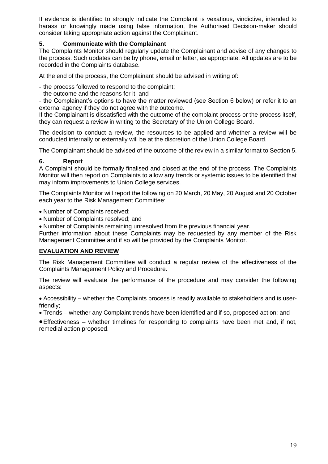If evidence is identified to strongly indicate the Complaint is vexatious, vindictive, intended to harass or knowingly made using false information, the Authorised Decision-maker should consider taking appropriate action against the Complainant.

#### **5. Communicate with the Complainant**

The Complaints Monitor should regularly update the Complainant and advise of any changes to the process. Such updates can be by phone, email or letter, as appropriate. All updates are to be recorded in the Complaints database.

At the end of the process, the Complainant should be advised in writing of:

- the process followed to respond to the complaint;

- the outcome and the reasons for it; and

- the Complainant's options to have the matter reviewed (see Section 6 below) or refer it to an external agency if they do not agree with the outcome.

If the Complainant is dissatisfied with the outcome of the complaint process or the process itself, they can request a review in writing to the Secretary of the Union College Board.

The decision to conduct a review, the resources to be applied and whether a review will be conducted internally or externally will be at the discretion of the Union College Board.

The Complainant should be advised of the outcome of the review in a similar format to Section 5.

#### **6. Report**

A Complaint should be formally finalised and closed at the end of the process. The Complaints Monitor will then report on Complaints to allow any trends or systemic issues to be identified that may inform improvements to Union College services.

The Complaints Monitor will report the following on 20 March, 20 May, 20 August and 20 October each year to the Risk Management Committee:

• Number of Complaints received;

• Number of Complaints resolved; and

Number of Complaints remaining unresolved from the previous financial year.

Further information about these Complaints may be requested by any member of the Risk Management Committee and if so will be provided by the Complaints Monitor.

#### **EVALUATION AND REVIEW**

The Risk Management Committee will conduct a regular review of the effectiveness of the Complaints Management Policy and Procedure.

The review will evaluate the performance of the procedure and may consider the following aspects:

 Accessibility – whether the Complaints process is readily available to stakeholders and is userfriendly;

Trends – whether any Complaint trends have been identified and if so, proposed action; and

Effectiveness – whether timelines for responding to complaints have been met and, if not, remedial action proposed.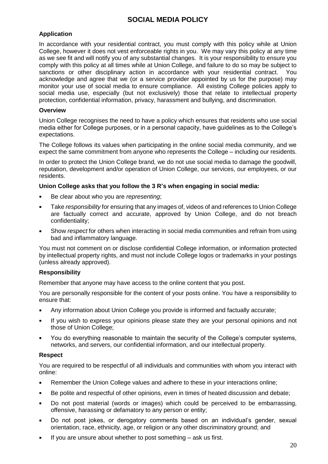## **SOCIAL MEDIA POLICY**

#### **Application**

In accordance with your residential contract, you must comply with this policy while at Union College, however it does not vest enforceable rights in you. We may vary this policy at any time as we see fit and will notify you of any substantial changes. It is your responsibility to ensure you comply with this policy at all times while at Union College, and failure to do so may be subject to sanctions or other disciplinary action in accordance with your residential contract. You acknowledge and agree that we (or a service provider appointed by us for the purpose) may monitor your use of social media to ensure compliance. All existing College policies apply to social media use, especially (but not exclusively) those that relate to intellectual property protection, confidential information, privacy, harassment and bullying, and discrimination.

#### **Overview**

Union College recognises the need to have a policy which ensures that residents who use social media either for College purposes, or in a personal capacity, have guidelines as to the College's expectations.

The College follows its values when participating in the online social media community, and we expect the same commitment from anyone who represents the College – including our residents.

In order to protect the Union College brand, we do not use social media to damage the goodwill, reputation, development and/or operation of Union College, our services, our employees, or our residents.

#### **Union College asks that you follow the 3 R's when engaging in social media:**

- Be clear about who you are *representing*;
- Take *responsibility* for ensuring that any images of, videos of and references to Union College are factually correct and accurate, approved by Union College, and do not breach confidentiality;
- Show *respect* for others when interacting in social media communities and refrain from using bad and inflammatory language.

You must not comment on or disclose confidential College information, or information protected by intellectual property rights, and must not include College logos or trademarks in your postings (unless already approved).

#### **Responsibility**

Remember that anyone may have access to the online content that you post.

You are personally responsible for the content of your posts online. You have a responsibility to ensure that:

- Any information about Union College you provide is informed and factually accurate;
- If you wish to express your opinions please state they are your personal opinions and not those of Union College;
- You do everything reasonable to maintain the security of the College's computer systems, networks, and servers, our confidential information, and our intellectual property.

#### **Respect**

You are required to be respectful of all individuals and communities with whom you interact with online:

- Remember the Union College values and adhere to these in your interactions online;
- Be polite and respectful of other opinions, even in times of heated discussion and debate;
- Do not post material (words or images) which could be perceived to be embarrassing, offensive, harassing or defamatory to any person or entity;
- Do not post jokes, or derogatory comments based on an individual's gender, sexual orientation, race, ethnicity, age, or religion or any other discriminatory ground; and
- If you are unsure about whether to post something ask us first.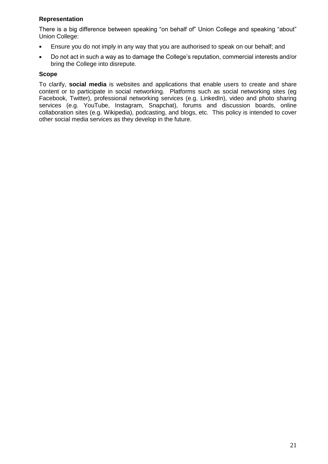#### **Representation**

There is a big difference between speaking "on behalf of" Union College and speaking "about" Union College:

- **Ensure you do not imply in any way that you are authorised to speak on our behalf; and**
- Do not act in such a way as to damage the College's reputation, commercial interests and/or bring the College into disrepute.

#### **Scope**

To clarify, **social media** is websites and applications that enable users to create and share content or to participate in social networking. Platforms such as social networking sites (eg Facebook, Twitter), professional networking services (e.g. LinkedIn), video and photo sharing services (e.g. YouTube, Instagram, Snapchat), forums and discussion boards, online collaboration sites (e.g. Wikipedia), podcasting, and blogs, etc. This policy is intended to cover other social media services as they develop in the future.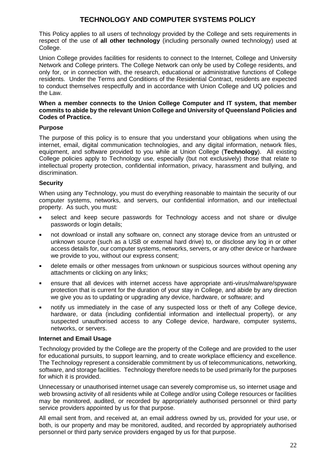## **TECHNOLOGY AND COMPUTER SYSTEMS POLICY**

This Policy applies to all users of technology provided by the College and sets requirements in respect of the use of **all other technology** (including personally owned technology) used at College.

Union College provides facilities for residents to connect to the Internet, College and University Network and College printers. The College Network can only be used by College residents, and only for, or in connection with, the research, educational or administrative functions of College residents. Under the Terms and Conditions of the Residential Contract, residents are expected to conduct themselves respectfully and in accordance with Union College and UQ policies and the Law.

#### **When a member connects to the Union College Computer and IT system, that member commits to abide by the relevant Union College and University of Queensland Policies and Codes of Practice.**

#### **Purpose**

The purpose of this policy is to ensure that you understand your obligations when using the internet, email, digital communication technologies, and any digital information, network files, equipment, and software provided to you while at Union College (**Technology**). All existing College policies apply to Technology use, especially (but not exclusively) those that relate to intellectual property protection, confidential information, privacy, harassment and bullying, and discrimination.

#### **Security**

When using any Technology, you must do everything reasonable to maintain the security of our computer systems, networks, and servers, our confidential information, and our intellectual property. As such, you must:

- select and keep secure passwords for Technology access and not share or divulge passwords or login details;
- not download or install any software on, connect any storage device from an untrusted or unknown source (such as a USB or external hard drive) to, or disclose any log in or other access details for, our computer systems, networks, servers, or any other device or hardware we provide to you, without our express consent;
- delete emails or other messages from unknown or suspicious sources without opening any attachments or clicking on any links;
- ensure that all devices with internet access have appropriate anti-virus/malware/spyware protection that is current for the duration of your stay in College, and abide by any direction we give you as to updating or upgrading any device, hardware, or software; and
- notify us immediately in the case of any suspected loss or theft of any College device, hardware, or data (including confidential information and intellectual property), or any suspected unauthorised access to any College device, hardware, computer systems, networks, or servers.

#### **Internet and Email Usage**

Technology provided by the College are the property of the College and are provided to the user for educational pursuits, to support learning, and to create workplace efficiency and excellence. The Technology represent a considerable commitment by us of telecommunications, networking, software, and storage facilities. Technology therefore needs to be used primarily for the purposes for which it is provided.

Unnecessary or unauthorised internet usage can severely compromise us, so internet usage and web browsing activity of all residents while at College and/or using College resources or facilities may be monitored, audited, or recorded by appropriately authorised personnel or third party service providers appointed by us for that purpose.

All email sent from, and received at, an email address owned by us, provided for your use, or both, is our property and may be monitored, audited, and recorded by appropriately authorised personnel or third party service providers engaged by us for that purpose.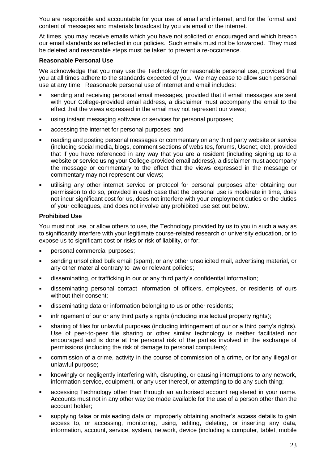You are responsible and accountable for your use of email and internet, and for the format and content of messages and materials broadcast by you via email or the internet.

At times, you may receive emails which you have not solicited or encouraged and which breach our email standards as reflected in our policies. Such emails must not be forwarded. They must be deleted and reasonable steps must be taken to prevent a re-occurrence.

#### **Reasonable Personal Use**

We acknowledge that you may use the Technology for reasonable personal use, provided that you at all times adhere to the standards expected of you. We may cease to allow such personal use at any time. Reasonable personal use of internet and email includes:

- sending and receiving personal email messages, provided that if email messages are sent with your College-provided email address, a disclaimer must accompany the email to the effect that the views expressed in the email may not represent our views;
- using instant messaging software or services for personal purposes;
- accessing the internet for personal purposes; and
- reading and posting personal messages or commentary on any third party website or service (including social media, blogs, comment sections of websites, forums, Usenet, etc), provided that if you have referenced in any way that you are a resident (including signing up to a website or service using your College-provided email address), a disclaimer must accompany the message or commentary to the effect that the views expressed in the message or commentary may not represent our views;
- utilising any other internet service or protocol for personal purposes after obtaining our permission to do so, provided in each case that the personal use is moderate in time, does not incur significant cost for us, does not interfere with your employment duties or the duties of your colleagues, and does not involve any prohibited use set out below.

#### **Prohibited Use**

You must not use, or allow others to use, the Technology provided by us to you in such a way as to significantly interfere with your legitimate course-related research or university education, or to expose us to significant cost or risks or risk of liability, or for:

- **•** personal commercial purposes;
- sending unsolicited bulk email (spam), or any other unsolicited mail, advertising material, or any other material contrary to law or relevant policies;
- disseminating, or trafficking in our or any third party's confidential information;
- disseminating personal contact information of officers, employees, or residents of ours without their consent;
- disseminating data or information belonging to us or other residents;
- **EXED** infringement of our or any third party's rights (including intellectual property rights);
- sharing of files for unlawful purposes (including infringement of our or a third party's rights). Use of peer-to-peer file sharing or other similar technology is neither facilitated nor encouraged and is done at the personal risk of the parties involved in the exchange of permissions (including the risk of damage to personal computers);
- commission of a crime, activity in the course of commission of a crime, or for any illegal or unlawful purpose;
- knowingly or negligently interfering with, disrupting, or causing interruptions to any network, information service, equipment, or any user thereof, or attempting to do any such thing;
- accessing Technology other than through an authorised account registered in your name. Accounts must not in any other way be made available for the use of a person other than the account holder;
- supplying false or misleading data or improperly obtaining another's access details to gain access to, or accessing, monitoring, using, editing, deleting, or inserting any data, information, account, service, system, network, device (including a computer, tablet, mobile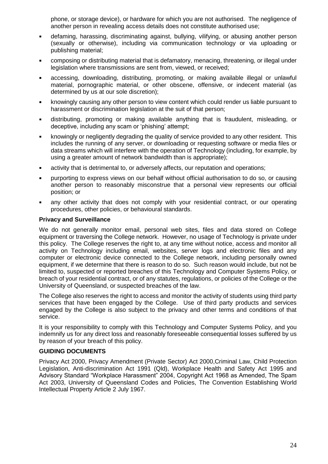phone, or storage device), or hardware for which you are not authorised. The negligence of another person in revealing access details does not constitute authorised use;

- defaming, harassing, discriminating against, bullying, vilifying, or abusing another person (sexually or otherwise), including via communication technology or via uploading or publishing material;
- composing or distributing material that is defamatory, menacing, threatening, or illegal under legislation where transmissions are sent from, viewed, or received;
- accessing, downloading, distributing, promoting, or making available illegal or unlawful material, pornographic material, or other obscene, offensive, or indecent material (as determined by us at our sole discretion);
- knowingly causing any other person to view content which could render us liable pursuant to harassment or discrimination legislation at the suit of that person;
- distributing, promoting or making available anything that is fraudulent, misleading, or deceptive, including any scam or 'phishing' attempt;
- knowingly or negligently degrading the quality of service provided to any other resident. This includes the running of any server, or downloading or requesting software or media files or data streams which will interfere with the operation of Technology (including, for example, by using a greater amount of network bandwidth than is appropriate);
- activity that is detrimental to, or adversely affects, our reputation and operations;
- purporting to express views on our behalf without official authorisation to do so, or causing another person to reasonably misconstrue that a personal view represents our official position; or
- any other activity that does not comply with your residential contract, or our operating procedures, other policies, or behavioural standards.

#### **Privacy and Surveillance**

We do not generally monitor email, personal web sites, files and data stored on College equipment or traversing the College network. However, no usage of Technology is private under this policy. The College reserves the right to, at any time without notice, access and monitor all activity on Technology including email, websites, server logs and electronic files and any computer or electronic device connected to the College network, including personally owned equipment, if we determine that there is reason to do so. Such reason would include, but not be limited to, suspected or reported breaches of this Technology and Computer Systems Policy, or breach of your residential contract, or of any statutes, regulations, or policies of the College or the University of Queensland, or suspected breaches of the law.

The College also reserves the right to access and monitor the activity of students using third party services that have been engaged by the College. Use of third party products and services engaged by the College is also subject to the privacy and other terms and conditions of that service.

It is your responsibility to comply with this Technology and Computer Systems Policy, and you indemnify us for any direct loss and reasonably foreseeable consequential losses suffered by us by reason of your breach of this policy.

#### **GUIDING DOCUMENTS**

Privacy Act 2000, Privacy Amendment (Private Sector) Act 2000,Criminal Law, Child Protection Legislation, Anti-discrimination Act 1991 (Qld), Workplace Health and Safety Act 1995 and Advisory Standard "Workplace Harassment" 2004, Copyright Act 1968 as Amended, The Spam Act 2003, University of Queensland Codes and Policies, The Convention Establishing World Intellectual Property Article 2 July 1967.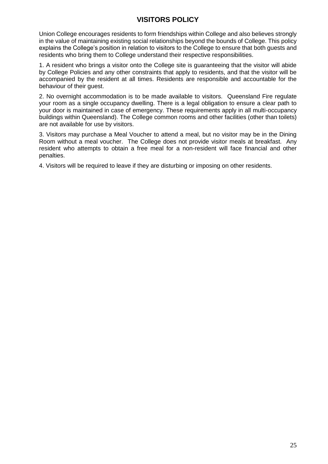## **VISITORS POLICY**

Union College encourages residents to form friendships within College and also believes strongly in the value of maintaining existing social relationships beyond the bounds of College. This policy explains the College's position in relation to visitors to the College to ensure that both guests and residents who bring them to College understand their respective responsibilities.

1. A resident who brings a visitor onto the College site is guaranteeing that the visitor will abide by College Policies and any other constraints that apply to residents, and that the visitor will be accompanied by the resident at all times. Residents are responsible and accountable for the behaviour of their guest.

2. No overnight accommodation is to be made available to visitors. Queensland Fire regulate your room as a single occupancy dwelling. There is a legal obligation to ensure a clear path to your door is maintained in case of emergency. These requirements apply in all multi-occupancy buildings within Queensland). The College common rooms and other facilities (other than toilets) are not available for use by visitors.

3. Visitors may purchase a Meal Voucher to attend a meal, but no visitor may be in the Dining Room without a meal voucher. The College does not provide visitor meals at breakfast. Any resident who attempts to obtain a free meal for a non-resident will face financial and other penalties.

4. Visitors will be required to leave if they are disturbing or imposing on other residents.